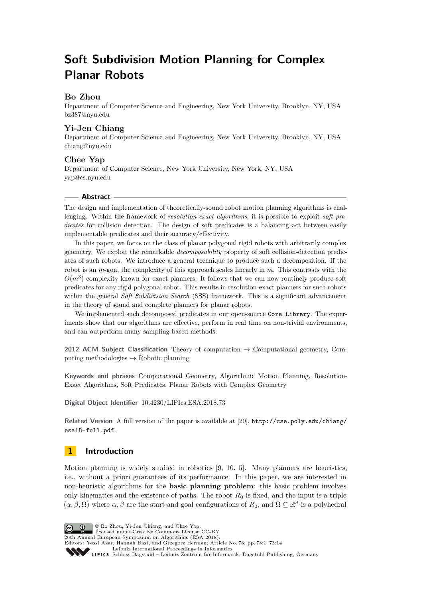# **Soft Subdivision Motion Planning for Complex Planar Robots**

# **Bo Zhou**

Department of Computer Science and Engineering, New York University, Brooklyn, NY, USA [bz387@nyu.edu](mailto:bz387@nyu.edu)

# **Yi-Jen Chiang**

Department of Computer Science and Engineering, New York University, Brooklyn, NY, USA [chiang@nyu.edu](mailto:chiang@nyu.edu)

# **Chee Yap**

Department of Computer Science, New York University, New York, NY, USA [yap@cs.nyu.edu](mailto:yap@cs.nyu.edu)

## **Abstract**

The design and implementation of theoretically-sound robot motion planning algorithms is challenging. Within the framework of *resolution-exact algorithms*, it is possible to exploit *soft predicates* for collision detection. The design of soft predicates is a balancing act between easily implementable predicates and their accuracy/effectivity.

In this paper, we focus on the class of planar polygonal rigid robots with arbitrarily complex geometry. We exploit the remarkable *decomposability* property of soft collision-detection predicates of such robots. We introduce a general technique to produce such a decomposition. If the robot is an *m*-gon, the complexity of this approach scales linearly in *m*. This contrasts with the  $O(m^3)$  complexity known for exact planners. It follows that we can now routinely produce soft predicates for any rigid polygonal robot. This results in resolution-exact planners for such robots within the general *Soft Subdivision Search* (SSS) framework. This is a significant advancement in the theory of sound and complete planners for planar robots.

We implemented such decomposed predicates in our open-source Core Library. The experiments show that our algorithms are effective, perform in real time on non-trivial environments, and can outperform many sampling-based methods.

**2012 ACM Subject Classification** Theory of computation → Computational geometry, Computing methodologies  $\rightarrow$  Robotic planning

**Keywords and phrases** Computational Geometry, Algorithmic Motion Planning, Resolution-Exact Algorithms, Soft Predicates, Planar Robots with Complex Geometry

**Digital Object Identifier** [10.4230/LIPIcs.ESA.2018.73](http://dx.doi.org/10.4230/LIPIcs.ESA.2018.73)

**Related Version** A full version of the paper is available at [\[20\]](#page-13-0), [http://cse.poly.edu/chiang/](http://cse.poly.edu/chiang/esa18-full.pdf) [esa18-full.pdf](http://cse.poly.edu/chiang/esa18-full.pdf).

# <span id="page-0-0"></span>**1 Introduction**

Motion planning is widely studied in robotics [\[9,](#page-12-0) [10,](#page-12-1) [5\]](#page-12-2). Many planners are heuristics, i.e., without a priori guarantees of its performance. In this paper, we are interested in non-heuristic algorithms for the **basic planning problem**: this basic problem involves only kinematics and the existence of paths. The robot  $R_0$  is fixed, and the input is a triple  $(\alpha, \beta, \Omega)$  where  $\alpha, \beta$  are the start and goal configurations of  $R_0$ , and  $\Omega \subseteq \mathbb{R}^d$  is a polyhedral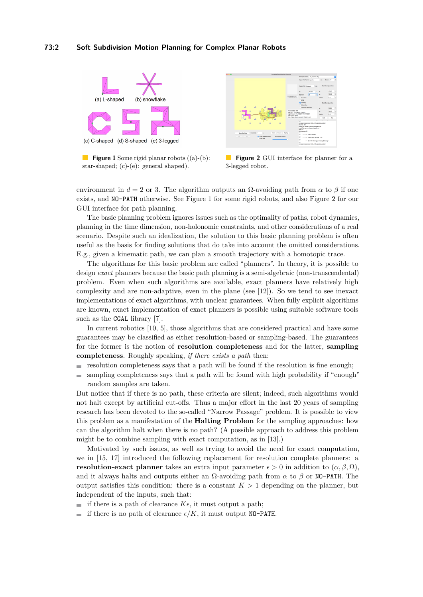#### **73:2 Soft Subdivision Motion Planning for Complex Planar Robots**

<span id="page-1-0"></span>

**Figure 1** Some rigid planar robots ((a)-(b): star-shaped; (c)-(e): general shaped).



 $\mathcal{L}^{\mathcal{L}}$ **Figure 2** GUI interface for planner for a 3-legged robot.

environment in  $d = 2$  or 3. The algorithm outputs an  $\Omega$ -avoiding path from  $\alpha$  to  $\beta$  if one exists, and NO-PATH otherwise. See Figure [1](#page-1-0) for some rigid robots, and also Figure [2](#page-1-0) for our GUI interface for path planning.

The basic planning problem ignores issues such as the optimality of paths, robot dynamics, planning in the time dimension, non-holonomic constraints, and other considerations of a real scenario. Despite such an idealization, the solution to this basic planning problem is often useful as the basis for finding solutions that do take into account the omitted considerations. E.g., given a kinematic path, we can plan a smooth trajectory with a homotopic trace.

The algorithms for this basic problem are called "planners". In theory, it is possible to design *exact* planners because the basic path planning is a semi-algebraic (non-transcendental) problem. Even when such algorithms are available, exact planners have relatively high complexity and are non-adaptive, even in the plane (see [\[12\]](#page-12-3)). So we tend to see inexact implementations of exact algorithms, with unclear guarantees. When fully explicit algorithms are known, exact implementation of exact planners is possible using suitable software tools such as the CGAL library [\[7\]](#page-12-4).

In current robotics [\[10,](#page-12-1) [5\]](#page-12-2), those algorithms that are considered practical and have some guarantees may be classified as either resolution-based or sampling-based. The guarantees for the former is the notion of **resolution completeness** and for the latter, **sampling completeness**. Roughly speaking, *if there exists a path* then:

- resolution completeness says that a path will be found if the resolution is fine enough;
- sampling completeness says that a path will be found with high probability if "enough"  $\equiv$ random samples are taken.

But notice that if there is no path, these criteria are silent; indeed, such algorithms would not halt except by artificial cut-offs. Thus a major effort in the last 20 years of sampling research has been devoted to the so-called "Narrow Passage" problem. It is possible to view this problem as a manifestation of the **Halting Problem** for the sampling approaches: how can the algorithm halt when there is no path? (A possible approach to address this problem might be to combine sampling with exact computation, as in [\[13\]](#page-12-5).)

Motivated by such issues, as well as trying to avoid the need for exact computation, we in [\[15,](#page-12-6) [17\]](#page-12-7) introduced the following replacement for resolution complete planners: a **resolution-exact planner** takes an extra input parameter  $\epsilon > 0$  in addition to  $(\alpha, \beta, \Omega)$ , and it always halts and outputs either an  $\Omega$ -avoiding path from  $\alpha$  to  $\beta$  or NO-PATH. The output satisfies this condition: there is a constant  $K > 1$  depending on the planner, but independent of the inputs, such that:

if there is a path of clearance  $K\epsilon$ , it must output a path;

 $\equiv$ if there is no path of clearance  $\epsilon/K$ , it must output NO-PATH.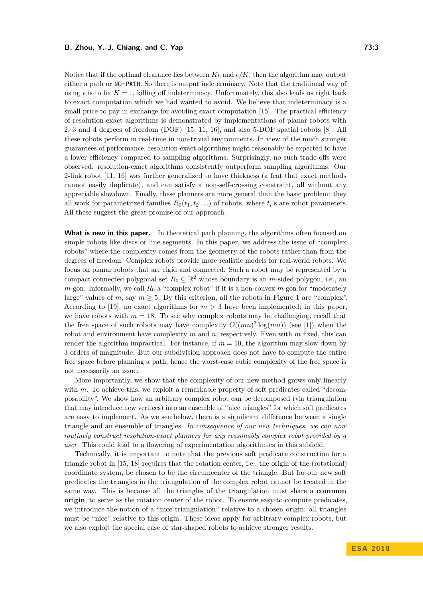#### **B. Zhou, Y.-J. Chiang, and C. Yap 73:3**

Notice that if the optimal clearance lies between  $K\epsilon$  and  $\epsilon/K$ , then the algorithm may output either a path or NO-PATH. So there is output indeterminacy. Note that the traditional way of using  $\epsilon$  is to fix  $K = 1$ , killing off indeterminacy. Unfortunately, this also leads us right back to exact computation which we had wanted to avoid. We believe that indeterminacy is a small price to pay in exchange for avoiding exact computation [\[15\]](#page-12-6). The practical efficiency of resolution-exact algorithms is demonstrated by implementations of planar robots with 2, 3 and 4 degrees of freedom (DOF) [\[15,](#page-12-6) [11,](#page-12-8) [16\]](#page-12-9), and also 5-DOF spatial robots [\[8\]](#page-12-10). All these robots perform in real-time in non-trivial environments. In view of the much stronger guarantees of performance, resolution-exact algorithms might reasonably be expected to have a lower efficiency compared to sampling algorithms. Surprisingly, no such trade-offs were observed: resolution-exact algorithms consistently outperform sampling algorithms. Our 2-link robot [\[11,](#page-12-8) [16\]](#page-12-9) was further generalized to have thickness (a feat that exact methods cannot easily duplicate), and can satisfy a non-self-crossing constraint, all without any appreciable slowdown. Finally, these planners are more general than the basic problem: they all work for parametrized families  $R_0(t_1, t_2 \ldots)$  of robots, where  $t_i$ 's are robot parameters. All these suggest the great promise of our approach.

**What is new in this paper.** In theoretical path planning, the algorithms often focused on simple robots like discs or line segments. In this paper, we address the issue of "complex robots" where the complexity comes from the geometry of the robots rather than from the degrees of freedom. Complex robots provide more realistic models for real-world robots. We focus on planar robots that are rigid and connected. Such a robot may be represented by a compact connected polygonal set  $R_0 \subseteq \mathbb{R}^2$  whose boundary is an *m*-sided polygon, i.e., an  $m$ -gon. Informally, we call  $R_0$  a "complex robot" if it is a non-convex  $m$ -gon for "moderately large" values of *m*, say  $m \geq 5$ . By this criterion, all the robots in Figure [1](#page-1-0) are "complex". According to [\[19\]](#page-13-2), no exact algorithms for  $m > 3$  have been implemented; in this paper, we have robots with  $m = 18$ . To see why complex robots may be challenging, recall that the free space of such robots may have complexity  $O((mn)^3 \log(mn))$  (see [\[1\]](#page-12-11)) when the robot and environment have complexity *m* and *n*, respectively. Even with *m* fixed, this can render the algorithm impractical. For instance, if  $m = 10$ , the algorithm may slow down by 3 orders of magnitude. But our subdivision approach does not have to compute the entire free space before planning a path; hence the worst-case cubic complexity of the free space is not necessarily an issue.

More importantly, we show that the complexity of our new method grows only linearly with *m*. To achieve this, we exploit a remarkable property of soft predicates called "decomposability". We show how an arbitrary complex robot can be decomposed (via triangulation that may introduce new vertices) into an ensemble of "nice triangles" for which soft predicates are easy to implement. As we see below, there is a significant difference between a single triangle and an ensemble of triangles. *In consequence of our new techniques, we can now routinely construct resolution-exact planners for any reasonably complex robot provided by a user.* This could lead to a flowering of experimentation algorithmics in this subfield.

Technically, it is important to note that the previous soft predicate construction for a triangle robot in [\[15,](#page-12-6) [18\]](#page-12-12) requires that the rotation center, i.e., the origin of the (rotational) coordinate system, be chosen to be the circumcenter of the triangle. But for our new soft predicates the triangles in the triangulation of the complex robot cannot be treated in the same way. This is because all the triangles of the triangulation must share a **common origin**, to serve as the rotation center of the robot. To ensure easy-to-compute predicates, we introduce the notion of a "nice triangulation" relative to a chosen origin: all triangles must be "nice" relative to this origin. These ideas apply for arbitrary complex robots, but we also exploit the special case of star-shaped robots to achieve stronger results.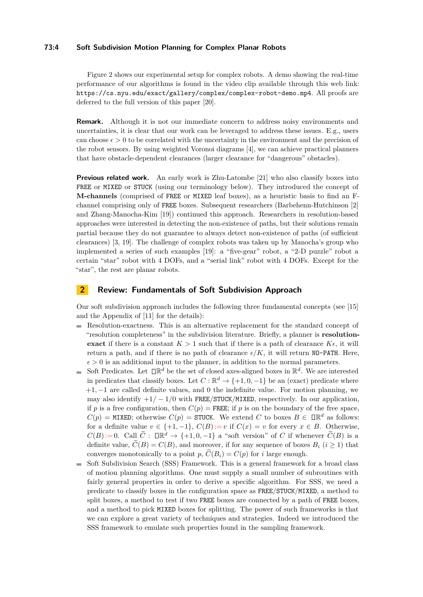#### **73:4 Soft Subdivision Motion Planning for Complex Planar Robots**

Figure [2](#page-1-0) shows our experimental setup for complex robots. A demo showing the real-time performance of our algorithms is found in the video clip available through this web link: <https://cs.nyu.edu/exact/gallery/complex/complex-robot-demo.mp4>. All proofs are deferred to the full version of this paper [\[20\]](#page-13-0).

**Remark.** Although it is not our immediate concern to address noisy environments and uncertainties, it is clear that our work can be leveraged to address these issues. E.g., users can choose  $\epsilon > 0$  to be correlated with the uncertainty in the environment and the precision of the robot sensors. By using weighted Voronoi diagrams [\[4\]](#page-12-13), we can achieve practical planners that have obstacle-dependent clearances (larger clearance for "dangerous" obstacles).

**Previous related work.** An early work is Zhu-Latombe [\[21\]](#page-13-3) who also classify boxes into FREE or MIXED or STUCK (using our terminology below). They introduced the concept of **M-channels** (comprised of FREE or MIXED leaf boxes), as a heuristic basis to find an Fchannel comprising only of FREE boxes. Subsequent researchers (Barbehenn-Hutchinson [\[2\]](#page-12-14) and Zhang-Manocha-Kim [\[19\]](#page-13-2)) continued this approach. Researchers in resolution-based approaches were interested in detecting the non-existence of paths, but their solutions remain partial because they do not guarantee to always detect non-existence of paths (of sufficient clearances) [\[3,](#page-12-15) [19\]](#page-13-2). The challenge of complex robots was taken up by Manocha's group who implemented a series of such examples [\[19\]](#page-13-2): a "five-gear" robot, a "2-D puzzle" robot a certain "star" robot with 4 DOFs, and a "serial link" robot with 4 DOFs. Except for the "star", the rest are planar robots.

# <span id="page-3-0"></span>**2 Review: Fundamentals of Soft Subdivision Approach**

Our soft subdivision approach includes the following three fundamental concepts (see [\[15\]](#page-12-6) and the Appendix of [\[11\]](#page-12-8) for the details):

- Resolution-exactness. This is an alternative replacement for the standard concept of "resolution completeness" in the subdivision literature. Briefly, a planner is **resolutionexact** if there is a constant  $K > 1$  such that if there is a path of clearance  $K\epsilon$ , it will return a path, and if there is no path of clearance  $\epsilon/K$ , it will return NO-PATH. Here,  $\epsilon > 0$  is an additional input to the planner, in addition to the normal parameters.
- Soft Predicates. Let  $\Box \mathbb{R}^d$  be the set of closed axes-aligned boxes in  $\mathbb{R}^d$ . We are interested in predicates that classify boxes. Let  $C : \mathbb{R}^d \to \{+1, 0, -1\}$  be an (exact) predicate where +1*,* −1 are called definite values, and 0 the indefinite value. For motion planning, we may also identify  $+1/-1/0$  with FREE/STUCK/MIXED, respectively. In our application, if *p* is a free configuration, then  $C(p)$  = FREE; if *p* is on the boundary of the free space,  $C(p) = \text{MIXED}$ ; otherwise  $C(p) = \text{STuck}$ . We extend *C* to boxes  $B \in \mathbb{IR}^d$  as follows: for a definite value  $v \in \{+1, -1\}$ ,  $C(B) := v$  if  $C(x) = v$  for every  $x \in B$ . Otherwise,  $C(B) := 0$ . Call  $\widetilde{C}$ :  $\Box \mathbb{R}^d \to \{+1, 0, -1\}$  a "soft version" of *C* if whenever  $\widetilde{C}(B)$  is a definite value,  $C(B) = C(B)$ , and moreover, if for any sequence of boxes  $B_i$  ( $i \geq 1$ ) that converges monotonically to a point *p*,  $C(B_i) = C(p)$  for *i* large enough.
- Soft Subdivision Search (SSS) Framework. This is a general framework for a broad class  $\sim$ of motion planning algorithms. One must supply a small number of subroutines with fairly general properties in order to derive a specific algorithm. For SSS, we need a predicate to classify boxes in the configuration space as FREE/STUCK/MIXED, a method to split boxes, a method to test if two FREE boxes are connected by a path of FREE boxes, and a method to pick MIXED boxes for splitting. The power of such frameworks is that we can explore a great variety of techniques and strategies. Indeed we introduced the SSS framework to emulate such properties found in the sampling framework.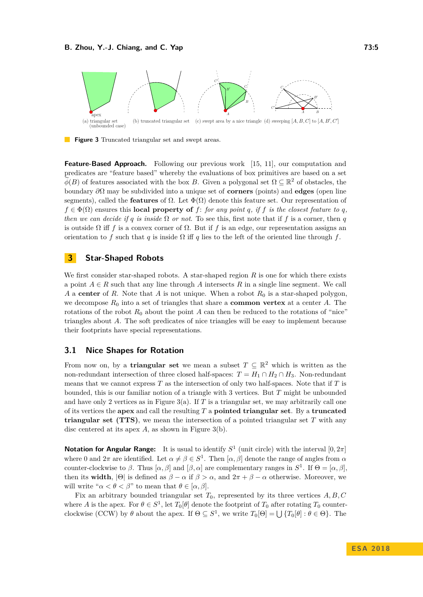<span id="page-4-0"></span>

**Figure 3** Truncated triangular set and swept areas.

**Feature-Based Approach.** Following our previous work [\[15,](#page-12-6) [11\]](#page-12-8), our computation and predicates are "feature based" whereby the evaluations of box primitives are based on a set  $\widetilde{\phi}(B)$  of features associated with the box *B*. Given a polygonal set  $\Omega \subseteq \mathbb{R}^2$  of obstacles, the boundary *∂*Ω may be subdivided into a unique set of **corners** (points) and **edges** (open line segments), called the **features** of  $\Omega$ . Let  $\Phi(\Omega)$  denote this feature set. Our representation of  $f \in \Phi(\Omega)$  ensures this **local property of**  $f$ : *for any point q, if*  $f$  *is the closest feature to q, then we can decide if q is inside*  $\Omega$  *or not*. To see this, first note that if *f* is a corner, then *q* is outside  $\Omega$  iff *f* is a convex corner of  $\Omega$ . But if *f* is an edge, our representation assigns an orientation to *f* such that *q* is inside  $\Omega$  iff *q* lies to the left of the oriented line through *f*.

## **3 Star-Shaped Robots**

We first consider star-shaped robots. A star-shaped region *R* is one for which there exists a point  $A \in R$  such that any line through A intersects R in a single line segment. We call *A* a **center** of *R*. Note that *A* is not unique. When a robot *R*<sup>0</sup> is a star-shaped polygon, we decompose  $R_0$  into a set of triangles that share a **common vertex** at a center  $A$ . The rotations of the robot  $R_0$  about the point A can then be reduced to the rotations of "nice" triangles about *A*. The soft predicates of nice triangles will be easy to implement because their footprints have special representations.

## **3.1 Nice Shapes for Rotation**

From now on, by a **triangular set** we mean a subset  $T \subseteq \mathbb{R}^2$  which is written as the non-redundant intersection of three closed half-spaces:  $T = H_1 \cap H_2 \cap H_3$ . Non-redundant means that we cannot express *T* as the intersection of only two half-spaces. Note that if *T* is bounded, this is our familiar notion of a triangle with 3 vertices. But *T* might be unbounded and have only 2 vertices as in Figure [3\(](#page-4-0)a). If *T* is a triangular set, we may arbitrarily call one of its vertices the **apex** and call the resulting *T* a **pointed triangular set**. By a **truncated triangular set (TTS)**, we mean the intersection of a pointed triangular set *T* with any disc centered at its apex *A*, as shown in Figure [3\(](#page-4-0)b).

**Notation for Angular Range:** It is usual to identify  $S^1$  (unit circle) with the interval  $[0, 2\pi]$ where 0 and  $2\pi$  are identified. Let  $\alpha \neq \beta \in S^1$ . Then  $[\alpha, \beta]$  denote the range of angles from  $\alpha$ counter-clockwise to *β*. Thus  $[\alpha, \beta]$  and  $[\beta, \alpha]$  are complementary ranges in  $S^1$ . If  $\Theta = [\alpha, \beta]$ , then its **width**,  $|\Theta|$  is defined as  $\beta - \alpha$  if  $\beta > \alpha$ , and  $2\pi + \beta - \alpha$  otherwise. Moreover, we will write " $\alpha < \theta < \beta$ " to mean that  $\theta \in [\alpha, \beta]$ .

Fix an arbitrary bounded triangular set *T*0, represented by its three vertices *A, B, C* where *A* is the apex. For  $\theta \in S^1$ , let  $T_0[\theta]$  denote the footprint of  $T_0$  after rotating  $T_0$  counterclockwise (CCW) by  $\theta$  about the apex. If  $\Theta \subseteq S^1$ , we write  $T_0[\Theta] = \bigcup \{T_0[\theta] : \theta \in \Theta\}$ . The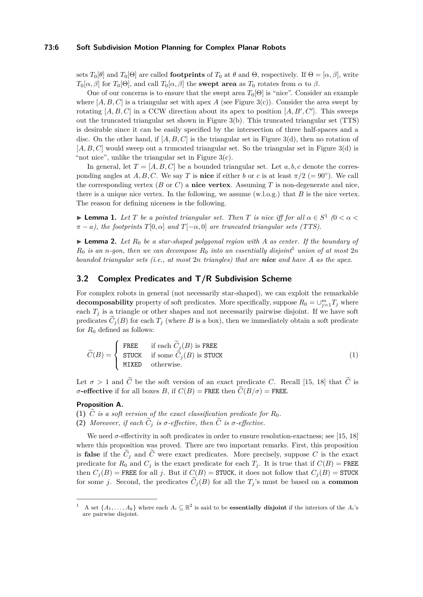#### **73:6 Soft Subdivision Motion Planning for Complex Planar Robots**

sets  $T_0[\theta]$  and  $T_0[\Theta]$  are called **footprints** of  $T_0$  at  $\theta$  and  $\Theta$ , respectively. If  $\Theta = [\alpha, \beta]$ , write  $T_0[\alpha, \beta]$  for  $T_0[\Theta]$ , and call  $T_0[\alpha, \beta]$  the **swept area** as  $T_0$  rotates from  $\alpha$  to  $\beta$ .

One of our concerns is to ensure that the swept area  $T_0[\Theta]$  is "nice". Consider an example where  $[A, B, C]$  is a triangular set with apex A (see Figure [3\(](#page-4-0)c)). Consider the area swept by rotating  $[A, B, C]$  in a CCW direction about its apex to position  $[A, B', C']$ . This sweeps out the truncated triangular set shown in Figure  $3(b)$ . This truncated triangular set (TTS) is desirable since it can be easily specified by the intersection of three half-spaces and a disc. On the other hand, if  $[A, B, C]$  is the triangular set in Figure [3\(](#page-4-0)d), then no rotation of [*A, B, C*] would sweep out a truncated triangular set. So the triangular set in Figure [3\(](#page-4-0)d) is "not nice", unlike the triangular set in Figure  $3(c)$ .

In general, let  $T = [A, B, C]$  be a bounded triangular set. Let  $a, b, c$  denote the corresponding angles at *A, B, C*. We say *T* is **nice** if either *b* or *c* is at least  $\pi/2$  (= 90<sup>°</sup>). We call the corresponding vertex (*B* or *C*) a **nice vertex**. Assuming *T* is non-degenerate and nice, there is a unique nice vertex. In the following, we assume (w.l.o.g.) that *B* is the nice vertex. The reason for defining niceness is the following.

<span id="page-5-2"></span>**I Lemma 1.** Let *T* be a pointed triangular set. Then *T* is nice iff for all  $\alpha \in S^1$  ( $0 < \alpha <$  $\pi - a$ , the footprints  $T[0, \alpha]$  and  $T[-\alpha, 0]$  are truncated triangular sets (TTS).

<span id="page-5-1"></span> $\blacktriangleright$  **Lemma 2.** Let  $R_0$  be a star-shaped polygonal region with A as center. If the boundary of  $R_0$  *is an n*-gon, then we can decompose  $R_0$  *into an essentially disjoint*<sup>[1](#page-5-0)</sup> *union of at most*  $2n$ *bounded triangular sets (i.e., at most* 2*n triangles) that are nice and have A as the apex.*

# <span id="page-5-3"></span>**3.2 Complex Predicates and T/R Subdivision Scheme**

For complex robots in general (not necessarily star-shaped), we can exploit the remarkable **decomposability** property of soft predicates. More specifically, suppose  $R_0 = \bigcup_{j=1}^m T_j$  where each  $T_i$  is a triangle or other shapes and not necessarily pairwise disjoint. If we have soft predicates  $\tilde{C}_j(B)$  for each  $T_j$  (where *B* is a box), then we immediately obtain a soft predicate for  $R_0$  defined as follows:

$$
\widetilde{C}(B) = \begin{cases}\n\text{FREE} & \text{if each } \widetilde{C}_j(B) \text{ is FREE} \\
\text{STUCK} & \text{if some } \widetilde{C}_j(B) \text{ is STUCK} \\
\text{MIXED} & \text{otherwise.} \n\end{cases} \tag{1}
$$

Let  $\sigma > 1$  and  $\tilde{C}$  be the soft version of an exact predicate *C*. Recall [\[15,](#page-12-6) [18\]](#page-12-12) that  $\tilde{C}$  is *σ***-effective** if for all boxes *B*, if  $C(B)$  = FREE then  $\widetilde{C}(B/\sigma)$  = FREE.

# **Proposition A.**

- **(1)**  $\widetilde{C}$  *is a soft version of the exact classification predicate for*  $R_0$ .
- **(2)** *Moreover, if each*  $\widetilde{C}_i$  *is*  $\sigma$ -effective, then  $\widetilde{C}$  *is*  $\sigma$ -effective.

We need  $\sigma$ -effectivity in soft predicates in order to ensure resolution-exactness; see [\[15,](#page-12-6) [18\]](#page-12-12) where this proposition was proved. There are two important remarks. First, this proposition is **false** if the  $\tilde{C}_i$  and  $\tilde{C}$  were exact predicates. More precisely, suppose C is the exact predicate for  $R_0$  and  $C_j$  is the exact predicate for each  $T_j$ . It is true that if  $C(B)$  = FREE then  $C_j(B)$  = FREE for all *j*. But if  $C(B)$  = STUCK, it does not follow that  $C_j(B)$  = STUCK for some *j*. Second, the predicates  $\tilde{C}_i(B)$  for all the  $T_i$ 's must be based on a **common** 

<span id="page-5-0"></span><sup>&</sup>lt;sup>1</sup> A set  $\{A_1, \ldots, A_k\}$  where each  $A_i \subseteq \mathbb{R}^2$  is said to be **essentially disjoint** if the interiors of the  $A_i$ 's are pairwise disjoint.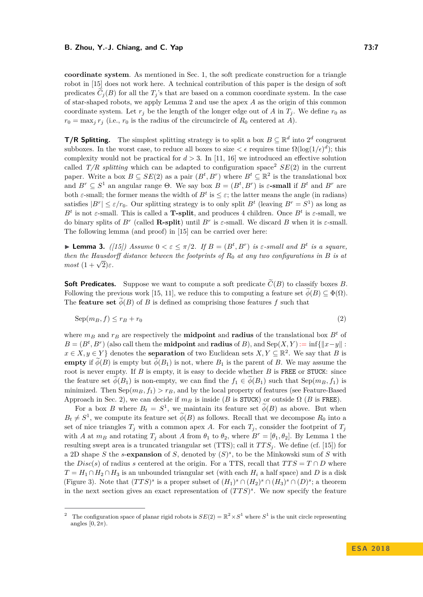**coordinate system**. As mentioned in Sec. [1,](#page-0-0) the soft predicate construction for a triangle robot in [\[15\]](#page-12-6) does not work here. A technical contribution of this paper is the design of soft predicates  $\tilde{C}_j(B)$  for all the  $T_j$ 's that are based on a common coordinate system. In the case of star-shaped robots, we apply Lemma [2](#page-5-1) and use the apex *A* as the origin of this common coordinate system. Let  $r_j$  be the length of the longer edge out of *A* in  $T_j$ . We define  $r_0$  as  $r_0 = \max_j r_j$  (i.e.,  $r_0$  is the radius of the circumcircle of  $R_0$  centered at *A*).

**T/R Splitting.** The simplest splitting strategy is to split a box  $B \subseteq \mathbb{R}^d$  into  $2^d$  congruent subboxes. In the worst case, to reduce all boxes to size  $\lt \epsilon$  requires time  $\Omega(\log(1/\epsilon)^d)$ ; this complexity would not be practical for  $d > 3$ . In [\[11,](#page-12-8) [16\]](#page-12-9) we introduced an effective solution called  $T/R$  splitting which can be adapted to configuration space<sup>[2](#page-6-0)</sup>  $SE(2)$  in the current paper. Write a box  $B \subseteq SE(2)$  as a pair  $(B^t, B^r)$  where  $B^t \subseteq \mathbb{R}^2$  is the translational box and  $B^r \subseteq S^1$  an angular range  $\Theta$ . We say box  $B = (B^t, B^r)$  is  $\varepsilon$ -small if  $B^t$  and  $B^r$  are both  $\varepsilon$ -small; the former means the width of  $B<sup>t</sup>$  is  $\leq \varepsilon$ ; the latter means the angle (in radians) satisfies  $|B^r| \le \varepsilon/r_0$ . Our splitting strategy is to only split  $B^t$  (leaving  $B^r = S^1$ ) as long as *B*<sup>*t*</sup> is not *ε*-small. This is called a **T-split**, and produces 4 children. Once *B*<sup>*t*</sup> is *ε*-small, we do binary splits of  $B^r$  (called **R-split**) until  $B^r$  is  $\varepsilon$ -small. We discard  $B$  when it is  $\varepsilon$ -small. The following lemma (and proof) in [\[15\]](#page-12-6) can be carried over here:

**Example 10.** If  $B = (B^t, B^r)$  is  $\varepsilon$ -small and  $B^t$  is a square, *then the Hausdorff distance between the footprints of*  $R_0$  *at any two configurations in*  $B$  *is at most*  $(1 + \sqrt{2})\varepsilon$ *.* 

**Soft Predicates.** Suppose we want to compute a soft predicate  $\widetilde{C}(B)$  to classify boxes *B*. Following the previous work [\[15,](#page-12-6) [11\]](#page-12-8), we reduce this to computing a feature set  $\widetilde{\phi}(B) \subseteq \Phi(\Omega)$ . The **feature set**  $\phi(B)$  of *B* is defined as comprising those features *f* such that

<span id="page-6-1"></span>
$$
Sep(m_B, f) \le r_B + r_0 \tag{2}
$$

where  $m_B$  and  $r_B$  are respectively the **midpoint** and **radius** of the translational box  $B^t$  of  $B = (B^t, B^r)$  (also call them the **midpoint** and **radius** of *B*), and Sep(*X,Y*):= inf{ $\|x - y\|$ :  $x \in X, y \in Y$  } denotes the **separation** of two Euclidean sets  $X, Y \subseteq \mathbb{R}^2$ . We say that *B* is **empty** if  $\phi(B)$  is empty but  $\phi(B_1)$  is not, where  $B_1$  is the parent of *B*. We may assume the root is never empty. If *B* is empty, it is easy to decide whether *B* is FREE or STUCK: since the feature set  $\phi(B_1)$  is non-empty, we can find the  $f_1 \in \phi(B_1)$  such that  $\text{Sep}(m_B, f_1)$  is minimized. Then  $\text{Sep}(m_B, f_1) > r_B$ , and by the local property of features (see Feature-Based Approach in Sec. [2\)](#page-3-0), we can decide if  $m_B$  is inside (*B* is STUCK) or outside  $\Omega$  (*B* is FREE).

For a box *B* where  $B_t = S^1$ , we maintain its feature set  $\phi(B)$  as above. But when  $B_t \neq S^1$ , we compute its feature set  $\phi(B)$  as follows. Recall that we decompose  $R_0$  into a set of nice triangles  $T_j$  with a common apex A. For each  $T_j$ , consider the footprint of  $T_j$ with *A* at  $m_B$  and rotating  $T_j$  about *A* from  $\theta_1$  to  $\theta_2$ , where  $B^r = [\theta_1, \theta_2]$ . By Lemma [1](#page-5-2) the resulting swept area is a truncated triangular set (TTS); call it  $TTS_j$ . We define (cf. [\[15\]](#page-12-6)) for a 2D shape *S* the *s*-**expansion** of *S*, denoted by (*S*) *s* , to be the Minkowski sum of *S* with the *Disc*(*s*) of radius *s* centered at the origin. For a TTS, recall that  $TTS = T \cap D$  where  $T = H_1 \cap H_2 \cap H_3$  is an unbounded triangular set (with each  $H_i$  a half space) and *D* is a disk (Figure [3\)](#page-4-0). Note that  $(TTS)^s$  is a proper subset of  $(H_1)^s \cap (H_2)^s \cap (H_3)^s \cap (D)^s$ ; a theorem in the next section gives an exact representation of  $(TTS)^s$ . We now specify the feature

<span id="page-6-0"></span><sup>&</sup>lt;sup>2</sup> The configuration space of planar rigid robots is  $SE(2) = \mathbb{R}^2 \times S^1$  where  $S^1$  is the unit circle representing angles  $[0, 2\pi)$ .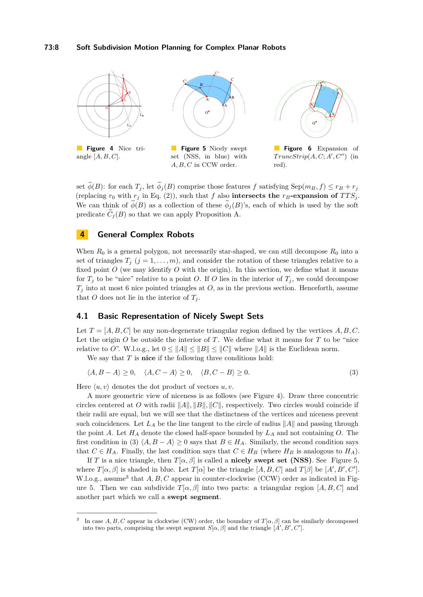<span id="page-7-0"></span>

set  $\widetilde{\phi}(B)$ : for each  $T_j$ , let  $\widetilde{\phi}_j(B)$  comprise those features f satisfying Sep( $m_B, f$ )  $\leq r_B + r_j$ (replacing  $r_0$  with  $r_j$  in Eq. [\(2\)](#page-6-1)), such that f also **intersects the**  $r_B$ **-expansion of**  $TTS_j$ . We can think of  $\phi(B)$  as a collection of these  $\phi_i(B)$ 's, each of which is used by the soft predicate  $\tilde{C}_i(B)$  so that we can apply Proposition A.

# **4 General Complex Robots**

When  $R_0$  is a general polygon, not necessarily star-shaped, we can still decompose  $R_0$  into a set of triangles  $T_j$  ( $j = 1, ..., m$ ), and consider the rotation of these triangles relative to a fixed point *O* (we may identify *O* with the origin). In this section, we define what it means for  $T_j$  to be "nice" relative to a point *O*. If *O* lies in the interior of  $T_j$ , we could decompose  $T_j$  into at most 6 nice pointed triangles at *O*, as in the previous section. Henceforth, assume that *O* does not lie in the interior of  $T_j$ .

#### **4.1 Basic Representation of Nicely Swept Sets**

Let  $T = [A, B, C]$  be any non-degenerate triangular region defined by the vertices  $A, B, C$ . Let the origin *O* be outside the interior of *T*. We define what it means for *T* to be "nice relative to *O*". W.l.o.g., let  $0 \le ||A|| \le ||B|| \le ||C||$  where  $||A||$  is the Euclidean norm.

We say that *T* is **nice** if the following three conditions hold:

<span id="page-7-1"></span>
$$
\langle A, B - A \rangle \ge 0, \quad \langle A, C - A \rangle \ge 0, \quad \langle B, C - B \rangle \ge 0. \tag{3}
$$

Here  $\langle u, v \rangle$  denotes the dot product of vectors  $u, v$ .

A more geometric view of niceness is as follows (see Figure [4\)](#page-7-0). Draw three concentric circles centered at *O* with radii  $||A||, ||B||, ||C||$ , respectively. Two circles would coincide if their radii are equal, but we will see that the distinctness of the vertices and niceness prevent such coincidences. Let  $L_A$  be the line tangent to the circle of radius  $||A||$  and passing through the point *A*. Let *H<sup>A</sup>* denote the closed half-space bounded by *L<sup>A</sup>* and not containing *O*. The first condition in [\(3\)](#page-7-1)  $\langle A, B - A \rangle \geq 0$  says that  $B \in H_A$ . Similarly, the second condition says that  $C \in H_A$ . Finally, the last condition says that  $C \in H_B$  (where  $H_B$  is analogous to  $H_A$ ).

If *T* is a nice triangle, then  $T[\alpha, \beta]$  is called a **nicely swept set (NSS)**. See Figure [5,](#page-7-0) where  $T[\alpha, \beta]$  is shaded in blue. Let  $T[\alpha]$  be the triangle  $[A, B, C]$  and  $T[\beta]$  be  $[A', B', C']$ . W.l.o.g., assume<sup>[3](#page-7-2)</sup> that *A, B, C* appear in counter-clockwise (CCW) order as indicated in Fig-ure [5.](#page-7-0) Then we can subdivide  $T[\alpha, \beta]$  into two parts: a triangular region [*A, B, C*] and another part which we call a **swept segment**.

<span id="page-7-2"></span><sup>3</sup> In case  $A, B, C$  appear in clockwise (CW) order, the boundary of  $T[\alpha, \beta]$  can be similarly decomposed into two parts, comprising the swept segment  $S[\alpha, \beta]$  and the triangle  $[A', B', C']$ .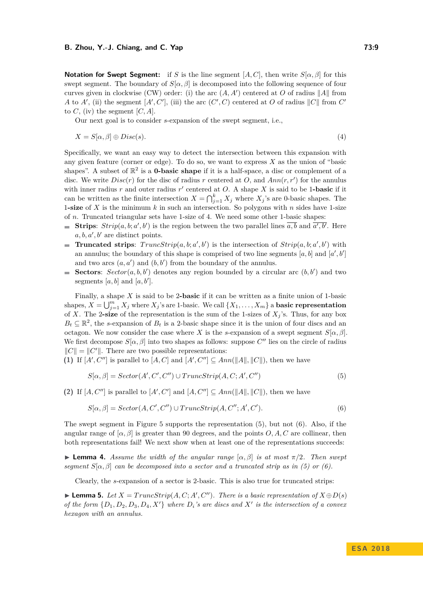#### **B. Zhou, Y.-J. Chiang, and C. Yap 73:9**

**Notation for Swept Segment:** if *S* is the line segment [*A, C*], then write *S*[*α, β*] for this swept segment. The boundary of  $S[\alpha, \beta]$  is decomposed into the following sequence of four curves given in clockwise (CW) order: (i) the arc  $(A, A')$  centered at O of radius  $||A||$  from *A* to *A'*, (ii) the segment  $[A', C']$ , (iii) the arc  $(C', C)$  centered at *O* of radius  $||C||$  from  $C'$ to  $C$ , (iv) the segment  $[C, A]$ .

Our next goal is to consider *s*-expansion of the swept segment, i.e.,

$$
X = S[\alpha, \beta] \oplus Disc(s). \tag{4}
$$

Specifically, we want an easy way to detect the intersection between this expansion with any given feature (corner or edge). To do so, we want to express *X* as the union of "basic shapes". A subset of  $\mathbb{R}^2$  is a **0-basic shape** if it is a half-space, a disc or complement of a disc. We write  $Disc(r)$  for the disc of radius r centered at  $O$ , and  $Ann(r, r')$  for the annulus with inner radius  $r$  and outer radius  $r'$  centered at  $O$ . A shape  $X$  is said to be 1-basic if it can be written as the finite intersection  $X = \bigcap_{j=1}^{k} X_j$  where  $X_j$ 's are 0-basic shapes. The 1**-size** of *X* is the minimum *k* in such an intersection. So polygons with *n* sides have 1-size of *n*. Truncated triangular sets have 1-size of 4. We need some other 1-basic shapes:

- **Strips**:  $Strip(a, b; a', b')$  is the region between the two parallel lines  $\overline{a, b}$  and  $\overline{a', b'}$ . Here  $a, b, a', b'$  are distinct points.
- **Truncated strips**:  $TruncStrip(a, b; a', b')$  is the intersection of  $Strip(a, b; a', b')$  with an annulus; the boundary of this shape is comprised of two line segments  $[a, b]$  and  $[a', b']$ and two arcs  $(a, a')$  and  $(b, b')$  from the boundary of the annulus.
- **Sectors**:  $Sector(a, b, b')$  denotes any region bounded by a circular arc  $(b, b')$  and two segments [a, b] and [a, b'].

Finally, a shape *X* is said to be 2**-basic** if it can be written as a finite union of 1-basic shapes,  $X = \bigcup_{j=1}^{m} X_j$  where  $X_j$ 's are 1-basic. We call  $\{X_1, \ldots, X_m\}$  a **basic representation** of *X*. The 2-size of the representation is the sum of the 1-sizes of  $X_j$ 's. Thus, for any box  $B_t \subseteq \mathbb{R}^2$ , the *s*-expansion of  $B_t$  is a 2-basic shape since it is the union of four discs and an octagon. We now consider the case where *X* is the *s*-expansion of a swept segment  $S[\alpha, \beta]$ . We first decompose  $S[\alpha, \beta]$  into two shapes as follows: suppose  $C''$  lies on the circle of radius  $||C|| = ||C'||$ . There are two possible representations:

**(1)** If  $[A', C'']$  is parallel to  $[A, C]$  and  $[A', C''] \subseteq Ann(\|A\|, \|C\|)$ , then we have

<span id="page-8-1"></span><span id="page-8-0"></span>
$$
S[\alpha, \beta] = Sector(A', C', C'') \cup TruncStrip(A, C; A', C'')
$$
\n
$$
(5)
$$

**(2)** If  $[A, C'']$  is parallel to  $[A', C']$  and  $[A, C''] \subseteq Ann(\|A\|, \|C\|)$ , then we have

$$
S[\alpha, \beta] = Sector(A, C', C'') \cup TruncStrip(A, C''; A', C').
$$
\n(6)

The swept segment in Figure [5](#page-7-0) supports the representation [\(5\)](#page-8-0), but not [\(6\)](#page-8-1). Also, if the angular range of  $[\alpha, \beta]$  is greater than 90 degrees, and the points O, A, C are collinear, then both representations fail! We next show when at least one of the representations succeeds:

**I Lemma 4.** *Assume the width of the angular range*  $[\alpha, \beta]$  *is at most*  $\pi/2$ *. Then swept segment*  $S[\alpha, \beta]$  *can be decomposed into a sector and a truncated strip as in [\(5\)](#page-8-0) or [\(6\)](#page-8-1).* 

Clearly, the *s*-expansion of a sector is 2-basic. This is also true for truncated strips:

▶ **Lemma 5.** *Let*  $X = TruncStrip(A, C; A', C'')$ *. There is a basic representation of*  $X \oplus D(s)$ *of the form*  $\{D_1, D_2, D_3, D_4, X'\}$  *where*  $D_i$ 's are discs and  $X'$  is the intersection of a convex *hexagon with an annulus.*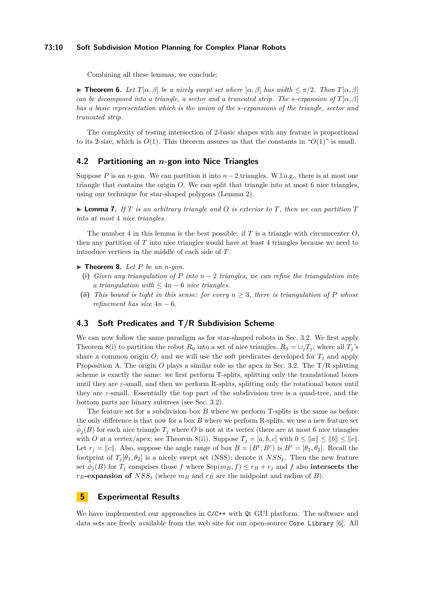#### **73:10 Soft Subdivision Motion Planning for Complex Planar Robots**

Combining all these lemmas, we conclude:

**Find 5.** *Let*  $T[\alpha, \beta]$  *be a nicely swept set where*  $[\alpha, \beta]$  *has width*  $\leq \pi/2$ *. Then*  $T[\alpha, \beta]$ *can be decomposed into a triangle, a sector and a truncated strip. The s-expansion of T*[*α, β*] *has a basic representation which is the union of the s-expansions of the triangle, sector and truncated strip.*

The complexity of testing intersection of 2-basic shapes with any feature is proportional to its 2-size, which is  $O(1)$ . This theorem assures us that the constants in " $O(1)$ " is small.

#### **4.2 Partitioning an** *n***-gon into Nice Triangles**

Suppose *P* is an *n*-gon. We can partition it into  $n-2$  triangles. W.l.o.g., there is at most one triangle that contains the origin  $O$ . We can split that triangle into at most  $6$  nice triangles, using our technique for star-shaped polygons (Lemma [2\)](#page-5-1).

 $\blacktriangleright$  **Lemma 7.** *If*  $T$  *is an arbitrary triangle and*  $O$  *is exterior to*  $T$ *, then we can partition*  $T$ *into at most* 4 *nice triangles.*

The number 4 in this lemma is the best possible: if *T* is a triangle with circumcenter *O*, then any partition of *T* into nice triangles would have at least 4 triangles because we need to introduce vertices in the middle of each side of *T*.

<span id="page-9-0"></span> $\blacktriangleright$  **Theorem 8.** Let P be an *n*-gon.

- **(i)** *Given any triangulation of P into n* − 2 *triangles, we can refine the triangulation into a triangulation with*  $\leq 4n - 6$  *nice triangles.*
- (ii) This bound is tight in this sense: for every  $n \geq 3$ , there is triangulation of P whose *refinement has size*  $4n - 6$ *.*

# **4.3 Soft Predicates and T/R Subdivision Scheme**

We can now follow the same paradigm as for star-shaped robots in Sec. [3.2.](#page-5-3) We first apply Theorem [8\(](#page-9-0)i) to partition the robot  $R_0$  into a set of nice triangles,  $R_0 = \bigcup_i T_i$ , where all  $T_i$ 's share a common origin  $O$ , and we will use the soft predicates developed for  $T_j$  and apply Proposition A. The origin *O* plays a similar role as the apex in Sec. [3.2.](#page-5-3) The T/R splitting scheme is exactly the same: we first perform T-splits, splitting only the translational boxes until they are  $\varepsilon$ -small, and then we perform R-splits, splitting only the rotational boxes until they are  $\varepsilon$ -small. Essentially the top part of the subdivision tree is a quad-tree, and the bottom parts are binary subtrees (see Sec. [3.2\)](#page-5-3).

The feature set for a subdivision box *B* where we perform T-splits is the same as before; the only difference is that now for a box *B* where we perform R-splits, we use a new feature set  $\phi_i(B)$  for each nice triangle  $T_i$  where *O* is not at its vertex (there are at most 6 nice triangles with *O* at a vertex/apex; see Theorem [8\(](#page-9-0)i)). Suppose  $T_i = [a, b, c]$  with  $0 \le ||a|| \le ||b|| \le ||c||$ . Let  $r_j = ||c||$ . Also, suppose the angle range of box  $B = (B^t, B^r)$  is  $B^r = [\theta_1, \theta_2]$ . Recall the footprint of  $T_i[\theta_1, \theta_2]$  is a nicely swept set (NSS); denote it  $NSS_i$ . Then the new feature set  $\phi_j(B)$  for  $T_j$  comprises those f where  $Sep(m_B, f) \leq r_B + r_j$  and f also intersects the  $r_B$ **-expansion of**  $NSS_j$  (where  $m_B$  and  $r_B$  are the midpoint and radius of *B*).

# **5 Experimental Results**

We have implemented our approaches in  $C/C^{++}$  with Qt GUI platform. The software and data sets are freely available from the web site for our open-source Core Library [\[6\]](#page-12-16). All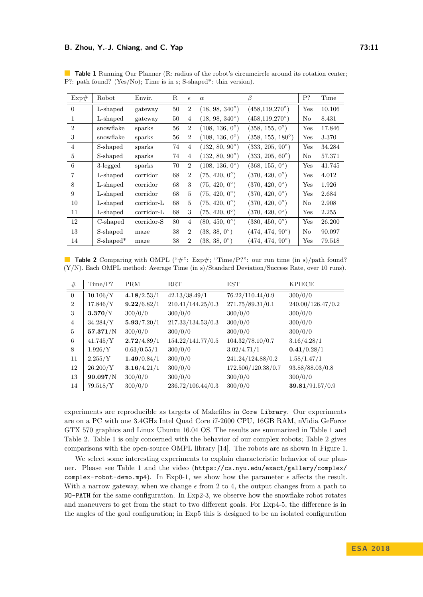#### **B. Zhou, Y.-J. Chiang, and C. Yap 73:11**

| Exp#           | Robot                 | Envir.     | R  | $\epsilon$     | $\alpha$                | ß                         | P?  | Time   |
|----------------|-----------------------|------------|----|----------------|-------------------------|---------------------------|-----|--------|
| $\Omega$       | L-shaped              | gateway    | 50 | $\overline{2}$ | $(18, 98, 340^{\circ})$ | $(458, 119, 270^{\circ})$ | Yes | 10.106 |
| $\mathbf{1}$   | L-shaped              | gateway    | 50 | 4              | $(18, 98, 340^{\circ})$ | $(458, 119, 270^{\circ})$ | No  | 8.431  |
| $\overline{2}$ | snowflake             | sparks     | 56 | $\overline{2}$ | $(108, 136, 0^{\circ})$ | $(358, 155, 0^{\circ})$   | Yes | 17.846 |
| 3              | snowflake             | sparks     | 56 | $\overline{2}$ | $(108, 136, 0^{\circ})$ | $(358, 155, 180^{\circ})$ | Yes | 3.370  |
| $\overline{4}$ | S-shaped              | sparks     | 74 | $\overline{4}$ | $(132, 80, 90^{\circ})$ | $(333, 205, 90^{\circ})$  | Yes | 34.284 |
| 5              | S-shaped              | sparks     | 74 | $\overline{4}$ | $(132, 80, 90^{\circ})$ | $(333, 205, 60^{\circ})$  | No  | 57.371 |
| 6              | 3-legged              | sparks     | 70 | $\overline{2}$ | $(108, 136, 0^{\circ})$ | $(368, 155, 0^{\circ})$   | Yes | 41.745 |
| $\overline{7}$ | L-shaped              | corridor   | 68 | $\overline{2}$ | $(75, 420, 0^{\circ})$  | $(370, 420, 0^{\circ})$   | Yes | 4.012  |
| 8              | L-shaped              | corridor   | 68 | 3              | $(75, 420, 0^{\circ})$  | $(370, 420, 0^{\circ})$   | Yes | 1.926  |
| 9              | L-shaped              | corridor   | 68 | 5              | $(75, 420, 0^{\circ})$  | $(370, 420, 0^{\circ})$   | Yes | 2.684  |
| 10             | L-shaped              | corridor-L | 68 | 5              | $(75, 420, 0^{\circ})$  | $(370, 420, 0^{\circ})$   | No  | 2.908  |
| 11             | L-shaped              | corridor-L | 68 | 3              | $(75, 420, 0^{\circ})$  | $(370, 420, 0^{\circ})$   | Yes | 2.255  |
| 12             | C-shaped              | corridor-S | 80 | 4              | $(80, 450, 0^{\circ})$  | $(380, 450, 0^{\circ})$   | Yes | 26.200 |
| 13             | S-shaped              | maze       | 38 | $\overline{2}$ | $(38, 38, 0^{\circ})$   | $(474, 474, 90^{\circ})$  | No  | 90.097 |
| 14             | S-shaped <sup>*</sup> | maze       | 38 | $\overline{2}$ | $(38, 38, 0^{\circ})$   | $(474, 474, 90^{\circ})$  | Yes | 79.518 |

<span id="page-10-0"></span>**Table 1** Running Our Planner (R: radius of the robot's circumcircle around its rotation center; P?: path found? (Yes/No); Time is in s; S-shaped\*: thin version).

<span id="page-10-1"></span>

|  |  |  | <b>Table 2</b> Comparing with OMPL ("#": Exp#; "Time/P?": our run time (in s)/path found?       |  |  |  |  |  |  |  |
|--|--|--|-------------------------------------------------------------------------------------------------|--|--|--|--|--|--|--|
|  |  |  | $(Y/N)$ . Each OMPL method: Average Time (in s)/Standard Deviation/Success Rate, over 10 runs). |  |  |  |  |  |  |  |

| #              | Time/P?  | <b>PRM</b>  | <b>RRT</b>        | EST                | <b>KPIECE</b>     |
|----------------|----------|-------------|-------------------|--------------------|-------------------|
| $\Omega$       | 10.106/Y | 4.18/2.53/1 | 42.13/38.49/1     | 76.22/110.44/0.9   | 300/0/0           |
| $\overline{2}$ | 17.846/Y | 9.22/6.82/1 | 210.41/144.25/0.3 | 271.75/89.31/0.1   | 240.00/126.47/0.2 |
| 3              | 3.370/Y  | 300/0/0     | 300/0/0           | 300/0/0            | 300/0/0           |
| $\overline{4}$ | 34.284/Y | 5.93/7.20/1 | 217.33/134.53/0.3 | 300/0/0            | 300/0/0           |
| $\overline{5}$ | 57.371/N | 300/0/0     | 300/0/0           | 300/0/0            | 300/0/0           |
| 6              | 41.745/Y | 2.72/4.89/1 | 154.22/141.77/0.5 | 104.32/78.10/0.7   | 3.16/4.28/1       |
| 8              | 1.926/Y  | 0.63/0.55/1 | 300/0/0           | 3.02/4.71/1        | 0.41/0.28/1       |
| 11             | 2.255/Y  | 1.49/0.84/1 | 300/0/0           | 241.24/124.88/0.2  | 1.58/1.47/1       |
| 12             | 26.200/Y | 3.16/4.21/1 | 300/0/0           | 172.506/120.38/0.7 | 93.88/88.03/0.8   |
| 13             | 90.097/N | 300/0/0     | 300/0/0           | 300/0/0            | 300/0/0           |
| 14             | 79.518/Y | 300/0/0     | 236.72/106.44/0.3 | 300/0/0            | 39.81/91.57/0.9   |

experiments are reproducible as targets of Makefiles in Core Library. Our experiments are on a PC with one 3.4GHz Intel Quad Core i7-2600 CPU, 16GB RAM, nVidia GeForce GTX 570 graphics and Linux Ubuntu 16.04 OS. The results are summarized in Table [1](#page-10-0) and Table [2.](#page-10-1) Table [1](#page-10-0) is only concerned with the behavior of our complex robots; Table [2](#page-10-1) gives comparisons with the open-source OMPL library [\[14\]](#page-12-17). The robots are as shown in Figure [1.](#page-1-0)

We select some interesting experiments to explain characteristic behavior of our planner. Please see Table [1](#page-10-0) and the video ([https://cs.nyu.edu/exact/gallery/complex/](https://cs.nyu.edu/exact/gallery/complex/complex-robot-demo.mp4) [complex-robot-demo.mp4](https://cs.nyu.edu/exact/gallery/complex/complex-robot-demo.mp4)). In Exp0-1, we show how the parameter  $\epsilon$  affects the result. With a narrow gateway, when we change  $\epsilon$  from 2 to 4, the output changes from a path to NO-PATH for the same configuration. In Exp2-3, we observe how the snowflake robot rotates and maneuvers to get from the start to two different goals. For Exp4-5, the difference is in the angles of the goal configuration; in Exp5 this is designed to be an isolated configuration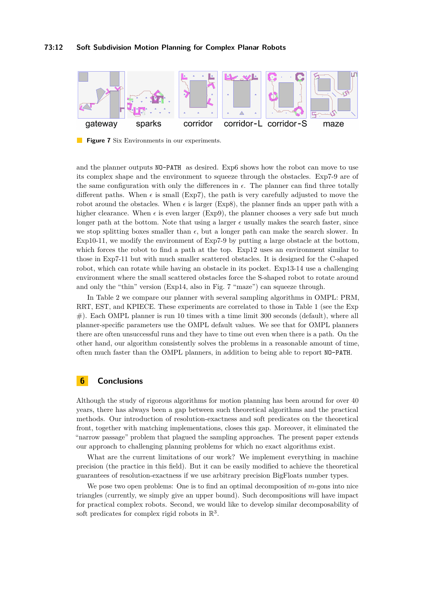<span id="page-11-0"></span>

**Figure 7** Six Environments in our experiments.

and the planner outputs NO-PATH as desired. Exp6 shows how the robot can move to use its complex shape and the environment to squeeze through the obstacles. Exp7-9 are of the same configuration with only the differences in  $\epsilon$ . The planner can find three totally different paths. When  $\epsilon$  is small (Exp7), the path is very carefully adjusted to move the robot around the obstacles. When  $\epsilon$  is larger (Exp8), the planner finds an upper path with a higher clearance. When  $\epsilon$  is even larger (Exp9), the planner chooses a very safe but much longer path at the bottom. Note that using a larger  $\epsilon$  usually makes the search faster, since we stop splitting boxes smaller than  $\epsilon$ , but a longer path can make the search slower. In Exp10-11, we modify the environment of Exp7-9 by putting a large obstacle at the bottom, which forces the robot to find a path at the top. Exp12 uses an environment similar to those in Exp7-11 but with much smaller scattered obstacles. It is designed for the C-shaped robot, which can rotate while having an obstacle in its pocket. Exp13-14 use a challenging environment where the small scattered obstacles force the S-shaped robot to rotate around and only the "thin" version (Exp14, also in Fig. [7](#page-11-0) "maze") can squeeze through.

In Table [2](#page-10-1) we compare our planner with several sampling algorithms in OMPL: PRM, RRT, EST, and KPIECE. These experiments are correlated to those in Table [1](#page-10-0) (see the Exp  $#$ ). Each OMPL planner is run 10 times with a time limit 300 seconds (default), where all planner-specific parameters use the OMPL default values. We see that for OMPL planners there are often unsuccessful runs and they have to time out even when there is a path. On the other hand, our algorithm consistently solves the problems in a reasonable amount of time, often much faster than the OMPL planners, in addition to being able to report NO-PATH.

# **6 Conclusions**

Although the study of rigorous algorithms for motion planning has been around for over 40 years, there has always been a gap between such theoretical algorithms and the practical methods. Our introduction of resolution-exactness and soft predicates on the theoretical front, together with matching implementations, closes this gap. Moreover, it eliminated the "narrow passage" problem that plagued the sampling approaches. The present paper extends our approach to challenging planning problems for which no exact algorithms exist.

What are the current limitations of our work? We implement everything in machine precision (the practice in this field). But it can be easily modified to achieve the theoretical guarantees of resolution-exactness if we use arbitrary precision BigFloats number types.

We pose two open problems: One is to find an optimal decomposition of *m*-gons into nice triangles (currently, we simply give an upper bound). Such decompositions will have impact for practical complex robots. Second, we would like to develop similar decomposability of soft predicates for complex rigid robots in  $\mathbb{R}^3$ .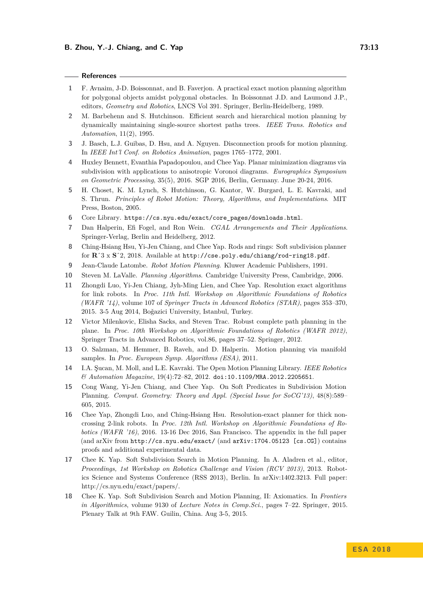#### **References**

- <span id="page-12-11"></span>**1** F. Avnaim, J-D. Boissonnat, and B. Faverjon. A practical exact motion planning algorithm for polygonal objects amidst polygonal obstacles. In Boissonnat J.D. and Laumond J.P., editors, *Geometry and Robotics*, LNCS Vol 391. Springer, Berlin-Heidelberg, 1989.
- <span id="page-12-14"></span>**2** M. Barbehenn and S. Hutchinson. Efficient search and hierarchical motion planning by dynamically maintaining single-source shortest paths trees. *IEEE Trans. Robotics and Automation*, 11(2), 1995.
- <span id="page-12-15"></span>**3** J. Basch, L.J. Guibas, D. Hsu, and A. Nguyen. Disconnection proofs for motion planning. In *IEEE Int'l Conf. on Robotics Animation*, pages 1765–1772, 2001.
- <span id="page-12-13"></span>**4** Huxley Bennett, Evanthia Papadopoulou, and Chee Yap. Planar minimization diagrams via subdivision with applications to anisotropic Voronoi diagrams. *Eurographics Symposium on Geometric Processing*, 35(5), 2016. SGP 2016, Berlin, Germany. June 20-24, 2016.
- <span id="page-12-2"></span>**5** H. Choset, K. M. Lynch, S. Hutchinson, G. Kantor, W. Burgard, L. E. Kavraki, and S. Thrun. *Principles of Robot Motion: Theory, Algorithms, and Implementations*. MIT Press, Boston, 2005.
- <span id="page-12-16"></span>**6** Core Library. [https://cs.nyu.edu/exact/core\\_pages/downloads.html](https://cs.nyu.edu/exact/core_pages/downloads.html).
- <span id="page-12-4"></span>**7** Dan Halperin, Efi Fogel, and Ron Wein. *CGAL Arrangements and Their Applications*. Springer-Verlag, Berlin and Heidelberg, 2012.
- <span id="page-12-10"></span>**8** Ching-Hsiang Hsu, Yi-Jen Chiang, and Chee Yap. Rods and rings: Soft subdivision planner for **R**ˆ3 x **S**ˆ2, 2018. Available at <http://cse.poly.edu/chiang/rod-ring18.pdf>.
- <span id="page-12-0"></span>**9** Jean-Claude Latombe. *Robot Motion Planning*. Kluwer Academic Publishers, 1991.
- <span id="page-12-1"></span>**10** Steven M. LaValle. *Planning Algorithms*. Cambridge University Press, Cambridge, 2006.
- <span id="page-12-8"></span>**11** Zhongdi Luo, Yi-Jen Chiang, Jyh-Ming Lien, and Chee Yap. Resolution exact algorithms for link robots. In *Proc. 11th Intl. Workshop on Algorithmic Foundations of Robotics (WAFR '14)*, volume 107 of *Springer Tracts in Advanced Robotics (STAR)*, pages 353–370, 2015. 3-5 Aug 2014, Boğazici University, Istanbul, Turkey.
- <span id="page-12-3"></span>**12** Victor Milenkovic, Elisha Sacks, and Steven Trac. Robust complete path planning in the plane. In *Proc. 10th Workshop on Algorithmic Foundations of Robotics (WAFR 2012)*, Springer Tracts in Advanced Robotics, vol.86, pages 37–52. Springer, 2012.
- <span id="page-12-5"></span>**13** O. Salzman, M. Hemmer, B. Raveh, and D. Halperin. Motion planning via manifold samples. In *Proc. European Symp. Algorithms (ESA)*, 2011.
- <span id="page-12-17"></span>**14** I.A. Şucan, M. Moll, and L.E. Kavraki. The Open Motion Planning Library. *IEEE Robotics & Automation Magazine*, 19(4):72–82, 2012. [doi:10.1109/MRA.2012.2205651](http://dx.doi.org/10.1109/MRA.2012.2205651).
- <span id="page-12-6"></span>**15** Cong Wang, Yi-Jen Chiang, and Chee Yap. On Soft Predicates in Subdivision Motion Planning. *Comput. Geometry: Theory and Appl. (Special Issue for SoCG'13)*, 48(8):589– 605, 2015.
- <span id="page-12-9"></span>**16** Chee Yap, Zhongdi Luo, and Ching-Hsiang Hsu. Resolution-exact planner for thick noncrossing 2-link robots. In *Proc. 12th Intl. Workshop on Algorithmic Foundations of Robotics (WAFR '16)*, 2016. 13-16 Dec 2016, San Francisco. The appendix in the full paper (and arXiv from http://cs.nyu.edu/exact/ (and arXiv:1704.05123 [cs.CG]) contains proofs and additional experimental data.
- <span id="page-12-7"></span>**17** Chee K. Yap. Soft Subdivision Search in Motion Planning. In A. Aladren et al., editor, *Proceedings, 1st Workshop on Robotics Challenge and Vision (RCV 2013)*, 2013. Robotics Science and Systems Conference (RSS 2013), Berlin. In arXiv:1402.3213. Full paper: http://cs.nyu.edu/exact/papers/.
- <span id="page-12-12"></span>**18** Chee K. Yap. Soft Subdivision Search and Motion Planning, II: Axiomatics. In *Frontiers in Algorithmics*, volume 9130 of *Lecture Notes in Comp.Sci.*, pages 7–22. Springer, 2015. Plenary Talk at 9th FAW. Guilin, China. Aug 3-5, 2015.